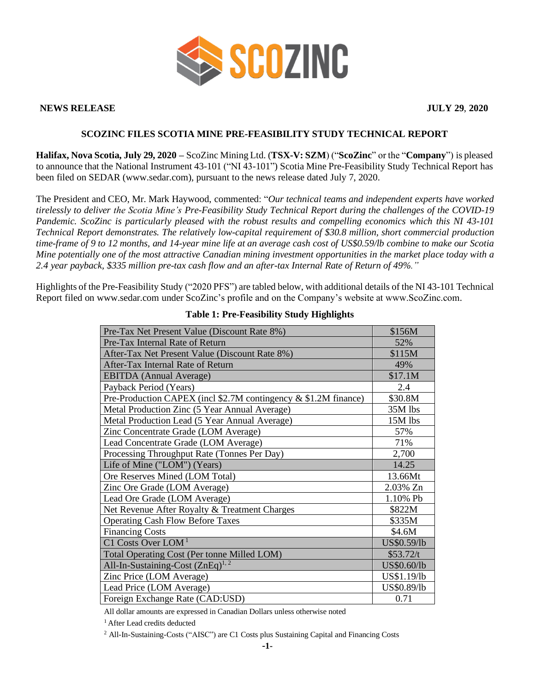

**NEWS RELEASE JULY 29**, **2020**

## **SCOZINC FILES SCOTIA MINE PRE-FEASIBILITY STUDY TECHNICAL REPORT**

**Halifax, Nova Scotia, July 29, 2020 –** ScoZinc Mining Ltd. (**TSX-V: SZM**) ("**ScoZinc**" or the "**Company**") is pleased to announce that the National Instrument 43-101 ("NI 43-101") Scotia Mine Pre-Feasibility Study Technical Report has been filed on SEDAR (www.sedar.com), pursuant to the news release dated July 7, 2020.

The President and CEO, Mr. Mark Haywood, commented: "*Our technical teams and independent experts have worked tirelessly to deliver the Scotia Mine's Pre-Feasibility Study Technical Report during the challenges of the COVID-19 Pandemic. ScoZinc is particularly pleased with the robust results and compelling economics which this NI 43-101 Technical Report demonstrates. The relatively low-capital requirement of \$30.8 million, short commercial production time-frame of 9 to 12 months, and 14-year mine life at an average cash cost of US\$0.59/lb combine to make our Scotia Mine potentially one of the most attractive Canadian mining investment opportunities in the market place today with a 2.4 year payback, \$335 million pre-tax cash flow and an after-tax Internal Rate of Return of 49%."*

Highlights of the Pre-Feasibility Study ("2020 PFS") are tabled below, with additional details of the NI 43-101 Technical Report filed on www.sedar.com under ScoZinc's profile and on the Company's website at www.ScoZinc.com.

| Pre-Tax Net Present Value (Discount Rate 8%)                    | \$156M      |
|-----------------------------------------------------------------|-------------|
| Pre-Tax Internal Rate of Return                                 | 52%         |
| After-Tax Net Present Value (Discount Rate 8%)                  | \$115M      |
| After-Tax Internal Rate of Return                               | 49%         |
| <b>EBITDA</b> (Annual Average)                                  | \$17.1M     |
| Payback Period (Years)                                          | 2.4         |
| Pre-Production CAPEX (incl \$2.7M contingency & \$1.2M finance) | \$30.8M     |
| Metal Production Zinc (5 Year Annual Average)                   | 35M lbs     |
| Metal Production Lead (5 Year Annual Average)                   | 15M lbs     |
| Zinc Concentrate Grade (LOM Average)                            | 57%         |
| Lead Concentrate Grade (LOM Average)                            | 71%         |
| Processing Throughput Rate (Tonnes Per Day)                     | 2,700       |
| Life of Mine ("LOM") (Years)                                    | 14.25       |
| Ore Reserves Mined (LOM Total)                                  | 13.66Mt     |
| Zinc Ore Grade (LOM Average)                                    | 2.03% Zn    |
| Lead Ore Grade (LOM Average)                                    | 1.10% Pb    |
| Net Revenue After Royalty & Treatment Charges                   | \$822M      |
| <b>Operating Cash Flow Before Taxes</b>                         | \$335M      |
| <b>Financing Costs</b>                                          | \$4.6M      |
| $C1$ Costs Over LOM <sup>1</sup>                                | US\$0.59/lb |
| Total Operating Cost (Per tonne Milled LOM)                     | \$53.72/t   |
| All-In-Sustaining-Cost $(ZnEq)^{1,2}$                           | US\$0.60/lb |
| Zinc Price (LOM Average)                                        | US\$1.19/lb |
| Lead Price (LOM Average)                                        | US\$0.89/lb |
| Foreign Exchange Rate (CAD:USD)                                 | 0.71        |
|                                                                 |             |

#### **Table 1: Pre-Feasibility Study Highlights**

All dollar amounts are expressed in Canadian Dollars unless otherwise noted

<sup>1</sup> After Lead credits deducted

<sup>2</sup> All-In-Sustaining-Costs ("AISC") are C1 Costs plus Sustaining Capital and Financing Costs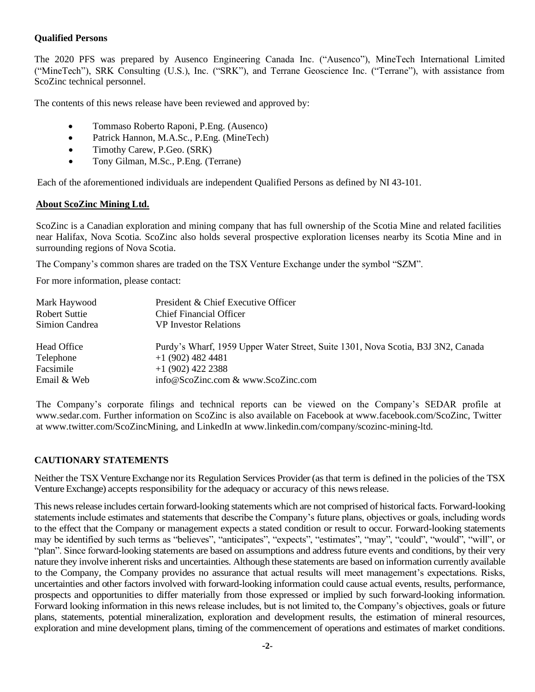# **Qualified Persons**

The 2020 PFS was prepared by Ausenco Engineering Canada Inc. ("Ausenco"), MineTech International Limited ("MineTech"), SRK Consulting (U.S.), Inc. ("SRK"), and Terrane Geoscience Inc. ("Terrane"), with assistance from ScoZinc technical personnel.

The contents of this news release have been reviewed and approved by:

- Tommaso Roberto Raponi, P.Eng. (Ausenco)
- Patrick Hannon, M.A.Sc., P.Eng. (MineTech)
- Timothy Carew, P.Geo. (SRK)
- Tony Gilman, M.Sc., P.Eng. (Terrane)

Each of the aforementioned individuals are independent Qualified Persons as defined by NI 43-101.

### **About ScoZinc Mining Ltd.**

ScoZinc is a Canadian exploration and mining company that has full ownership of the Scotia Mine and related facilities near Halifax, Nova Scotia. ScoZinc also holds several prospective exploration licenses nearby its Scotia Mine and in surrounding regions of Nova Scotia.

The Company's common shares are traded on the TSX Venture Exchange under the symbol "SZM".

For more information, please contact:

| Mark Haywood         | President & Chief Executive Officer                                              |
|----------------------|----------------------------------------------------------------------------------|
| <b>Robert Suttie</b> | <b>Chief Financial Officer</b>                                                   |
| Simion Candrea       | <b>VP</b> Investor Relations                                                     |
| Head Office          | Purdy's Wharf, 1959 Upper Water Street, Suite 1301, Nova Scotia, B3J 3N2, Canada |
| Telephone            | $+1$ (902) 482 4481                                                              |
| Facsimile            | $+1$ (902) 422 2388                                                              |
| Email & Web          | info@ScoZinc.com & www.ScoZinc.com                                               |

The Company's corporate filings and technical reports can be viewed on the Company's SEDAR profile at [www.sedar.com.](http://www.sedar.com/) Further information on ScoZinc is also available on Facebook at www.facebook.com/ScoZinc, Twitter at www.twitter.com/ScoZincMining, and LinkedIn at www.linkedin.com/company/scozinc-mining-ltd.

#### **CAUTIONARY STATEMENTS**

Neither the TSX Venture Exchange nor its Regulation Services Provider (as that term is defined in the policies of the TSX Venture Exchange) accepts responsibility for the adequacy or accuracy of this newsrelease.

This news release includes certain forward-looking statements which are not comprised of historical facts. Forward-looking statements include estimates and statements that describe the Company's future plans, objectives or goals, including words to the effect that the Company or management expects a stated condition or result to occur. Forward-looking statements may be identified by such terms as "believes", "anticipates", "expects", "estimates", "may", "could", "would", "will", or "plan". Since forward-looking statements are based on assumptions and address future events and conditions, by their very nature they involve inherent risks and uncertainties. Although these statements are based on information currently available to the Company, the Company provides no assurance that actual results will meet management's expectations. Risks, uncertainties and other factors involved with forward-looking information could cause actual events, results, performance, prospects and opportunities to differ materially from those expressed or implied by such forward-looking information. Forward looking information in this news release includes, but is not limited to, the Company's objectives, goals or future plans, statements, potential mineralization, exploration and development results, the estimation of mineral resources, exploration and mine development plans, timing of the commencement of operations and estimates of market conditions.